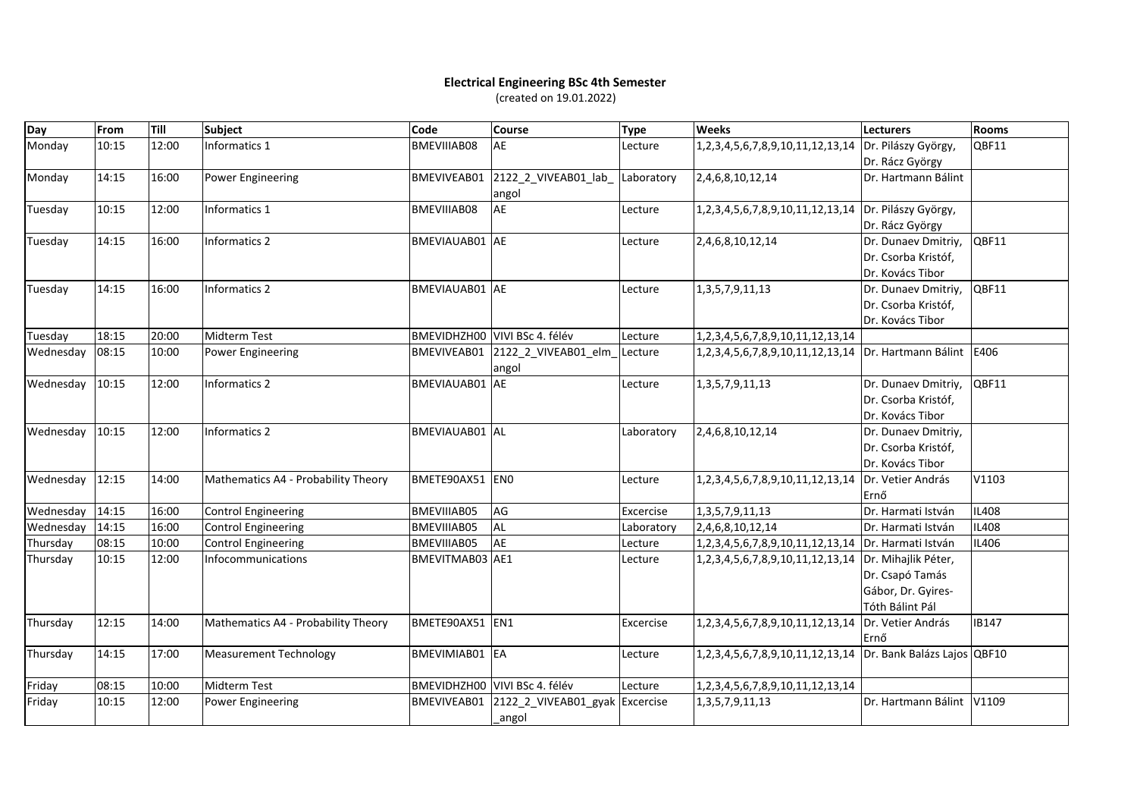## **Electrical Engineering BSc 4th Semester** (created on 19.01.2022)

| Day       | From  | <b>Till</b> | Subject                             | Code                  | <b>Course</b>                            | <b>Type</b> | <b>Weeks</b>                                                  | <b>Lecturers</b>            | <b>Rooms</b> |
|-----------|-------|-------------|-------------------------------------|-----------------------|------------------------------------------|-------------|---------------------------------------------------------------|-----------------------------|--------------|
| Monday    | 10:15 | 12:00       | Informatics 1                       | BMEVIIIAB08           | AE                                       | Lecture     | 1,2,3,4,5,6,7,8,9,10,11,12,13,14 Dr. Pilászy György,          |                             | OBF11        |
|           |       |             |                                     |                       |                                          |             |                                                               | Dr. Rácz György             |              |
| Monday    | 14:15 | 16:00       | Power Engineering                   | <b>BMEVIVEAB01</b>    | 2122 2 VIVEAB01 lab                      | Laboratory  | 2,4,6,8,10,12,14                                              | Dr. Hartmann Bálint         |              |
|           |       |             |                                     |                       | angol                                    |             |                                                               |                             |              |
| Tuesday   | 10:15 | 12:00       | Informatics 1                       | BMEVIIIAB08           | AE                                       | Lecture     | 1,2,3,4,5,6,7,8,9,10,11,12,13,14 Dr. Pilászy György,          |                             |              |
|           |       |             |                                     |                       |                                          |             |                                                               | Dr. Rácz György             |              |
| Tuesday   | 14:15 | 16:00       | Informatics 2                       | BMEVIAUAB01 AE        |                                          | Lecture     | 2,4,6,8,10,12,14                                              | Dr. Dunaev Dmitriy,         | QBF11        |
|           |       |             |                                     |                       |                                          |             |                                                               | Dr. Csorba Kristóf,         |              |
|           |       |             |                                     |                       |                                          |             |                                                               | Dr. Kovács Tibor            |              |
| Tuesday   | 14:15 | 16:00       | Informatics 2                       | <b>BMEVIAUAB01</b> AE |                                          | Lecture     | 1, 3, 5, 7, 9, 11, 13                                         | Dr. Dunaev Dmitriy,         | QBF11        |
|           |       |             |                                     |                       |                                          |             |                                                               | Dr. Csorba Kristóf,         |              |
|           |       |             |                                     |                       |                                          |             |                                                               | Dr. Kovács Tibor            |              |
| Tuesday   | 18:15 | 20:00       | <b>Midterm Test</b>                 |                       | BMEVIDHZH00 VIVI BSc 4. félév            | Lecture     | 1, 2, 3, 4, 5, 6, 7, 8, 9, 10, 11, 12, 13, 14                 |                             |              |
| Wednesday | 08:15 | 10:00       | <b>Power Engineering</b>            |                       | BMEVIVEAB01 2122_2_VIVEAB01_elm<br>angol | Lecture     | 1,2,3,4,5,6,7,8,9,10,11,12,13,14   Dr. Hartmann Bálint   E406 |                             |              |
| Wednesday | 10:15 | 12:00       | Informatics 2                       | BMEVIAUAB01 AE        |                                          | Lecture     | 1, 3, 5, 7, 9, 11, 13                                         | Dr. Dunaev Dmitriy,         | OBF11        |
|           |       |             |                                     |                       |                                          |             |                                                               | Dr. Csorba Kristóf,         |              |
|           |       |             |                                     |                       |                                          |             |                                                               | Dr. Kovács Tibor            |              |
| Wednesday | 10:15 | 12:00       | Informatics 2                       | <b>BMEVIAUAB01</b> AL |                                          | Laboratory  | 2,4,6,8,10,12,14                                              | Dr. Dunaev Dmitriy,         |              |
|           |       |             |                                     |                       |                                          |             |                                                               | Dr. Csorba Kristóf,         |              |
|           |       |             |                                     |                       |                                          |             |                                                               | Dr. Kovács Tibor            |              |
| Wednesday | 12:15 | 14:00       | Mathematics A4 - Probability Theory | BMETE90AX51 EN0       |                                          | Lecture     | 1,2,3,4,5,6,7,8,9,10,11,12,13,14                              | Dr. Vetier András           | V1103        |
|           |       |             |                                     |                       |                                          |             |                                                               | Ernő                        |              |
| Wednesday | 14:15 | 16:00       | Control Engineering                 | BMEVIIIAB05           | AG                                       | Excercise   | 1, 3, 5, 7, 9, 11, 13                                         | Dr. Harmati István          | <b>IL408</b> |
| Wednesday | 14:15 | 16:00       | <b>Control Engineering</b>          | BMEVIIIAB05           | <b>AL</b>                                | Laboratory  | 2,4,6,8,10,12,14                                              | Dr. Harmati István          | <b>IL408</b> |
| Thursday  | 08:15 | 10:00       | <b>Control Engineering</b>          | BMEVIIIAB05           | AE                                       | Lecture     | 1, 2, 3, 4, 5, 6, 7, 8, 9, 10, 11, 12, 13, 14                 | Dr. Harmati István          | IL406        |
| Thursday  | 10:15 | 12:00       | Infocommunications                  | BMEVITMAB03 AE1       |                                          | Lecture     | 1,2,3,4,5,6,7,8,9,10,11,12,13,14                              | Dr. Mihajlik Péter,         |              |
|           |       |             |                                     |                       |                                          |             |                                                               | Dr. Csapó Tamás             |              |
|           |       |             |                                     |                       |                                          |             |                                                               | Gábor, Dr. Gyires-          |              |
|           |       |             |                                     |                       |                                          |             |                                                               | Tóth Bálint Pál             |              |
| Thursday  | 12:15 | 14:00       | Mathematics A4 - Probability Theory | BMETE90AX51 EN1       |                                          | Excercise   | 1,2,3,4,5,6,7,8,9,10,11,12,13,14 Dr. Vetier András            |                             | <b>IB147</b> |
|           |       |             |                                     |                       |                                          |             |                                                               | Ernő                        |              |
| Thursday  | 14:15 | 17:00       | Measurement Technology              | BMEVIMIAB01 EA        |                                          | Lecture     | 1,2,3,4,5,6,7,8,9,10,11,12,13,14 Dr. Bank Balázs Lajos QBF10  |                             |              |
| Friday    | 08:15 | 10:00       | Midterm Test                        |                       | BMEVIDHZH00 VIVI BSc 4. félév            | Lecture     | 1, 2, 3, 4, 5, 6, 7, 8, 9, 10, 11, 12, 13, 14                 |                             |              |
| Friday    | 10:15 | 12:00       | Power Engineering                   | BMEVIVEAB01           | 2122_2_VIVEAB01_gyak Excercise           |             | 1, 3, 5, 7, 9, 11, 13                                         | <b>IDr. Hartmann Bálint</b> | V1109        |
|           |       |             |                                     |                       | _angol                                   |             |                                                               |                             |              |